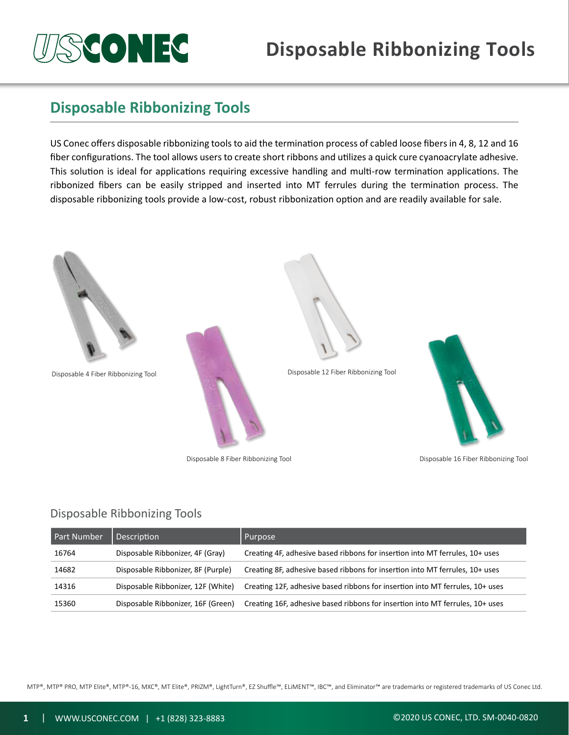# **SCONEG**

## **Disposable Ribbonizing Tools**

### **Disposable Ribbonizing Tools**

US Conec offers disposable ribbonizing tools to aid the termination process of cabled loose fibers in 4, 8, 12 and 16 fiber configurations. The tool allows users to create short ribbons and utilizes a quick cure cyanoacrylate adhesive. This solution is ideal for applications requiring excessive handling and multi-row termination applications. The ribbonized fibers can be easily stripped and inserted into MT ferrules during the termination process. The disposable ribbonizing tools provide a low-cost, robust ribbonization option and are readily available for sale.



#### Disposable Ribbonizing Tools

| Part Number | Description                        | Purpose                                                                       |
|-------------|------------------------------------|-------------------------------------------------------------------------------|
| 16764       | Disposable Ribbonizer, 4F (Gray)   | Creating 4F, adhesive based ribbons for insertion into MT ferrules, 10+ uses  |
| 14682       | Disposable Ribbonizer, 8F (Purple) | Creating 8F, adhesive based ribbons for insertion into MT ferrules, 10+ uses  |
| 14316       | Disposable Ribbonizer, 12F (White) | Creating 12F, adhesive based ribbons for insertion into MT ferrules, 10+ uses |
| 15360       | Disposable Ribbonizer, 16F (Green) | Creating 16F, adhesive based ribbons for insertion into MT ferrules, 10+ uses |

MTP®, MTP® PRO, MTP Elite®, MTP®-16, MXC®, MT Elite®, PRIZM®, LightTurn®, EZ Shuffle™, ELiMENT™, IBC™, and Eliminator™ are trademarks or registered trademarks of US Conec Ltd.